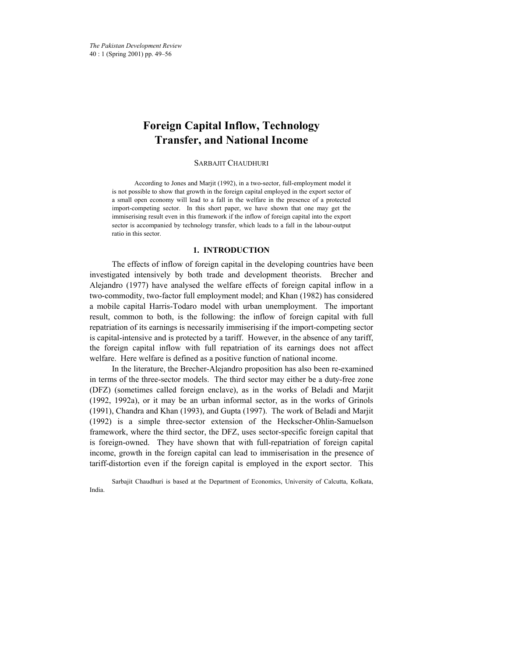# **Foreign Capital Inflow, Technology Transfer, and National Income**

SARBAJIT CHAUDHURI

According to Jones and Marjit (1992), in a two-sector, full-employment model it is not possible to show that growth in the foreign capital employed in the export sector of a small open economy will lead to a fall in the welfare in the presence of a protected import-competing sector. In this short paper, we have shown that one may get the immiserising result even in this framework if the inflow of foreign capital into the export sector is accompanied by technology transfer, which leads to a fall in the labour-output ratio in this sector.

## **1. INTRODUCTION**

The effects of inflow of foreign capital in the developing countries have been investigated intensively by both trade and development theorists. Brecher and Alejandro (1977) have analysed the welfare effects of foreign capital inflow in a two-commodity, two-factor full employment model; and Khan (1982) has considered a mobile capital Harris-Todaro model with urban unemployment. The important result, common to both, is the following: the inflow of foreign capital with full repatriation of its earnings is necessarily immiserising if the import-competing sector is capital-intensive and is protected by a tariff. However, in the absence of any tariff, the foreign capital inflow with full repatriation of its earnings does not affect welfare. Here welfare is defined as a positive function of national income.

In the literature, the Brecher-Alejandro proposition has also been re-examined in terms of the three-sector models. The third sector may either be a duty-free zone (DFZ) (sometimes called foreign enclave), as in the works of Beladi and Marjit (1992, 1992a), or it may be an urban informal sector, as in the works of Grinols (1991), Chandra and Khan (1993), and Gupta (1997). The work of Beladi and Marjit (1992) is a simple three-sector extension of the Heckscher-Ohlin-Samuelson framework, where the third sector, the DFZ, uses sector-specific foreign capital that is foreign-owned. They have shown that with full-repatriation of foreign capital income, growth in the foreign capital can lead to immiserisation in the presence of tariff-distortion even if the foreign capital is employed in the export sector. This

Sarbajit Chaudhuri is based at the Department of Economics, University of Calcutta, Kolkata, India.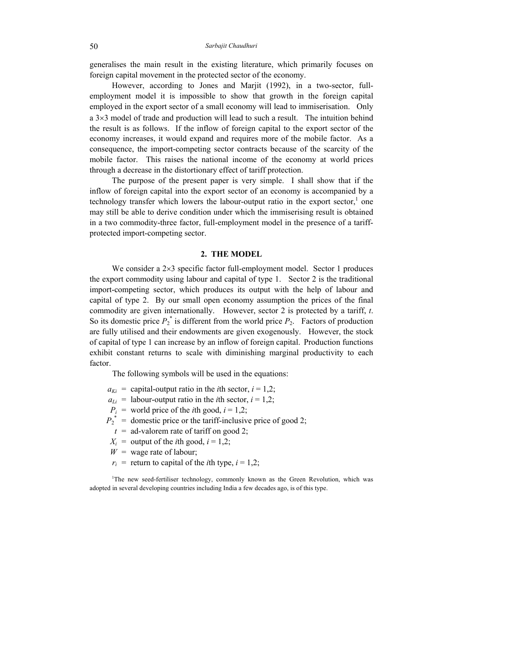generalises the main result in the existing literature, which primarily focuses on foreign capital movement in the protected sector of the economy.

However, according to Jones and Marjit (1992), in a two-sector, fullemployment model it is impossible to show that growth in the foreign capital employed in the export sector of a small economy will lead to immiserisation. Only a 3×3 model of trade and production will lead to such a result. The intuition behind the result is as follows. If the inflow of foreign capital to the export sector of the economy increases, it would expand and requires more of the mobile factor. As a consequence, the import-competing sector contracts because of the scarcity of the mobile factor. This raises the national income of the economy at world prices through a decrease in the distortionary effect of tariff protection.

The purpose of the present paper is very simple. I shall show that if the inflow of foreign capital into the export sector of an economy is accompanied by a technology transfer which lowers the labour-output ratio in the export sector, $<sup>1</sup>$  one</sup> may still be able to derive condition under which the immiserising result is obtained in a two commodity-three factor, full-employment model in the presence of a tariffprotected import-competing sector.

#### **2. THE MODEL**

We consider a 2×3 specific factor full-employment model. Sector 1 produces the export commodity using labour and capital of type 1. Sector 2 is the traditional import-competing sector, which produces its output with the help of labour and capital of type 2. By our small open economy assumption the prices of the final commodity are given internationally. However, sector 2 is protected by a tariff, *t*. So its domestic price  $P_2^*$  is different from the world price  $P_2$ . Factors of production are fully utilised and their endowments are given exogenously. However, the stock of capital of type 1 can increase by an inflow of foreign capital. Production functions exhibit constant returns to scale with diminishing marginal productivity to each factor.

The following symbols will be used in the equations:

- $a_{Ki}$  = capital-output ratio in the *i*th sector,  $i = 1,2$ ;
- $a_{Li}$  = labour-output ratio in the *i*th sector,  $i = 1,2$ ;
- $P_i$  = world price of the *i*th good,  $i = 1,2$ ;
- $P_2^*$  = domestic price or the tariff-inclusive price of good 2;
	- $t =$  ad-valorem rate of tariff on good 2;
- $X_i$  = output of the *i*th good,  $i = 1,2$ ;
- $W =$  wage rate of labour;
- $r_i$  = return to capital of the *i*th type,  $i = 1,2$ ;

<sup>1</sup>The new seed-fertiliser technology, commonly known as the Green Revolution, which was adopted in several developing countries including India a few decades ago, is of this type.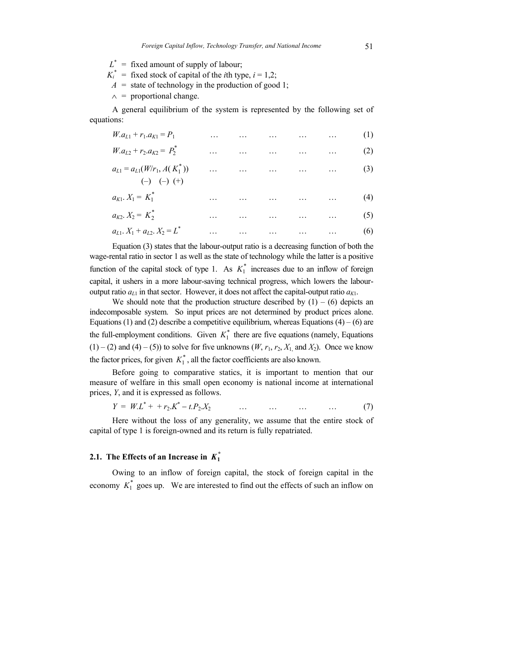$L^*$  = fixed amount of supply of labour;

- $K_i^*$  = fixed stock of capital of the *i*th type,  $i = 1,2$ ;
- $A =$  state of technology in the production of good 1;
- $\wedge$  = proportional change.

A general equilibrium of the system is represented by the following set of equations:

| $W_{1}a_{11} + r_{11}a_{K1} = P_{1}$                    |          |  | (1)                                   |     |
|---------------------------------------------------------|----------|--|---------------------------------------|-----|
| $W.a_{L2} + r_2.a_{K2} = P_2^*$                         | $\cdots$ |  | المستحدث والمستحدث والمستحدث المستحدث | (2) |
| $a_{L1} = a_{L1}(W/r_1, A(K_1^*))$<br>$(-)$ $(-)$ $(+)$ |          |  | والمستحدث والمستحدث المستحدث المستحدث | (3) |
| $a_{K1}$ , $X_1 = K_1^*$                                |          |  | (4)                                   |     |
| $a_{K2}$ , $X_2 = K_2^*$                                |          |  | (5)                                   |     |
| $a_{L1}$ , $X_1 + a_{L2}$ , $X_2 = L^*$                 | .        |  | $\dots$ $\dots$ $\dots$ $\dots$ $(6)$ |     |

Equation (3) states that the labour-output ratio is a decreasing function of both the wage-rental ratio in sector 1 as well as the state of technology while the latter is a positive function of the capital stock of type 1. As  $K_1^*$  increases due to an inflow of foreign capital, it ushers in a more labour-saving technical progress, which lowers the labouroutput ratio  $a_{L1}$  in that sector. However, it does not affect the capital-output ratio  $a_{K1}$ .

We should note that the production structure described by  $(1) - (6)$  depicts an indecomposable system. So input prices are not determined by product prices alone. Equations (1) and (2) describe a competitive equilibrium, whereas Equations (4) – (6) are the full-employment conditions. Given  $K_1^*$  there are five equations (namely, Equations  $(1) - (2)$  and  $(4) - (5)$  to solve for five unknowns  $(W, r_1, r_2, X_1, T_2)$ . Once we know the factor prices, for given  $K_1^*$ , all the factor coefficients are also known.

Before going to comparative statics, it is important to mention that our measure of welfare in this small open economy is national income at international prices, *Y*, and it is expressed as follows.

$$
Y = W L^{*} + + r_{2} K^{*} - t P_{2} X_{2} \qquad \qquad \dots \qquad \dots \qquad \dots \qquad \dots \qquad (7)
$$

Here without the loss of any generality, we assume that the entire stock of capital of type 1 is foreign-owned and its return is fully repatriated.

# **2.1.** The Effects of an Increase in  $K_1^*$

Owing to an inflow of foreign capital, the stock of foreign capital in the economy  $K_1^*$  goes up. We are interested to find out the effects of such an inflow on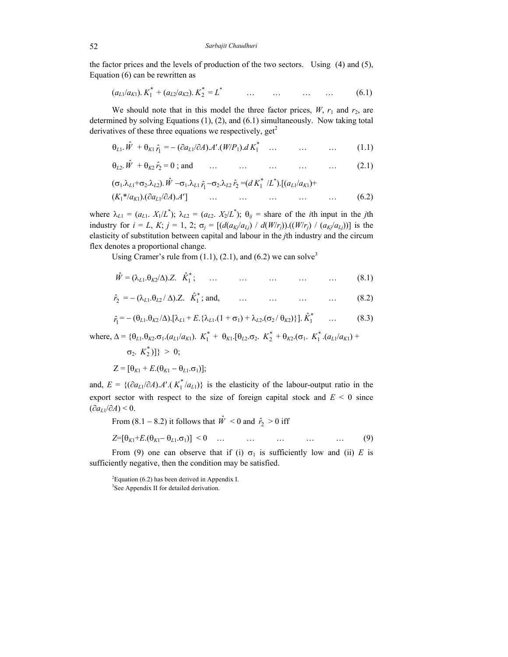the factor prices and the levels of production of the two sectors. Using (4) and (5), Equation (6) can be rewritten as

$$
(a_{L1}/a_{K1}). K_1^* + (a_{L2}/a_{K2}). K_2^* = L^* \qquad \dots \qquad \dots \qquad \dots \qquad \dots \qquad (6.1)
$$

We should note that in this model the three factor prices,  $W$ ,  $r_1$  and  $r_2$ , are determined by solving Equations (1), (2), and (6.1) simultaneously. Now taking total derivatives of these three equations we respectively,  $get<sup>2</sup>$ 

$$
\theta_{L1}.\hat{W} + \theta_{K1}\hat{r}_1 = -(\partial a_{L1}/\partial A).A'.(W/P_1).dK_1^* \quad \dots \quad \dots \quad \dots \tag{1.1}
$$

$$
\theta_{L2} \cdot \hat{W} + \theta_{K2} \cdot \hat{r}_2 = 0
$$
; and ... ... ... ... ... (2.1)

$$
(\sigma_1 \lambda_{L1} + \sigma_2 \lambda_{L2}) \cdot \hat{W} - \sigma_1 \lambda_{L1} \hat{r}_1 - \sigma_2 \lambda_{L2} \hat{r}_2 = (d K_1^* / L^*) \cdot [(a_{L1}/a_{K1}) + (K_1^* / a_{K1}) \cdot (\partial a_{L1}/\partial A) \cdot A'] \qquad \dots \qquad \dots \qquad \dots \qquad \dots \qquad \dots \qquad (6.2)
$$

where  $\lambda_{L1} = (a_{L1}, X_1/L^*)$ ;  $\lambda_{L2} = (a_{L2}, X_2/L^*)$ ;  $\theta_{ij}$  = share of the *i*th input in the *j*th industry for  $i = L$ ,  $K$ ;  $j = 1, 2$ ;  $\sigma_j = [(d(a_{Kj}/a_{Lj}) / d(W/r_j)) \cdot ((W/r_j) / (a_{Kj}/a_{Lj}))]$  is the elasticity of substitution between capital and labour in the *j*th industry and the circum flex denotes a proportional change.

Using Cramer's rule from  $(1.1)$ ,  $(2.1)$ , and  $(6.2)$  we can solve<sup>3</sup>

$$
\hat{W} = (\lambda_{L1}.\theta_{K2}/\Delta).Z. \quad \hat{K}_1^*; \qquad \dots \qquad \dots \qquad \dots \qquad \dots \qquad \dots \qquad (8.1)
$$

$$
\hat{r}_2 = -(\lambda_{L1}.\theta_{L2}/\Delta).Z. \quad \hat{K}_1^*; \text{ and,} \qquad \dots \qquad \dots \qquad \dots \qquad \dots \qquad (8.2)
$$

$$
\hat{r}_1 = -(\theta_{L1}.\theta_{K2}/\Delta).[\lambda_{L1} + E. \{\lambda_{L1}.(1 + \sigma_1) + \lambda_{L2}.(\sigma_2/\theta_{K2})\}].\hat{K}_1^* \qquad \dots \tag{8.3}
$$

where,  $\Delta = {\theta_{L1}.\theta_{K2}.\sigma_1.(a_{L1}/a_{K1})}.$   $K_1^* + \theta_{K1}.[\theta_{L2}.\sigma_2.$   $K_2^* + \theta_{K2}.(\sigma_1.$   $K_1^*.(a_{L1}/a_{K1}) +$ 

$$
\sigma_2. K_2^* ] \} > 0;
$$
  

$$
Z = [\theta_{K1} + E.(\theta_{K1} - \theta_{L1}.\sigma_1)];
$$

and,  $E = \{(\partial a_{L1}/\partial A) \cdot A'. (K_1^*/a_{L1})\}$  is the elasticity of the labour-output ratio in the export sector with respect to the size of foreign capital stock and  $E < 0$  since  $(∂a<sub>L1</sub>/∂A) < 0.$ 

From (8.1 – 8.2) it follows that  $\hat{W} < 0$  and  $\hat{r}_2 > 0$  iff

$$
Z = [\theta_{K1} + E \cdot (\theta_{K1} - \theta_{L1} \cdot \sigma_1)] < 0 \quad \dots \quad \dots \quad \dots \quad \dots \quad \dots \quad (9)
$$

From (9) one can observe that if (i)  $\sigma_1$  is sufficiently low and (ii) *E* is sufficiently negative, then the condition may be satisfied.

 ${}^{2}$ Equation (6.2) has been derived in Appendix I. <sup>3</sup>See Appendix II for detailed derivation.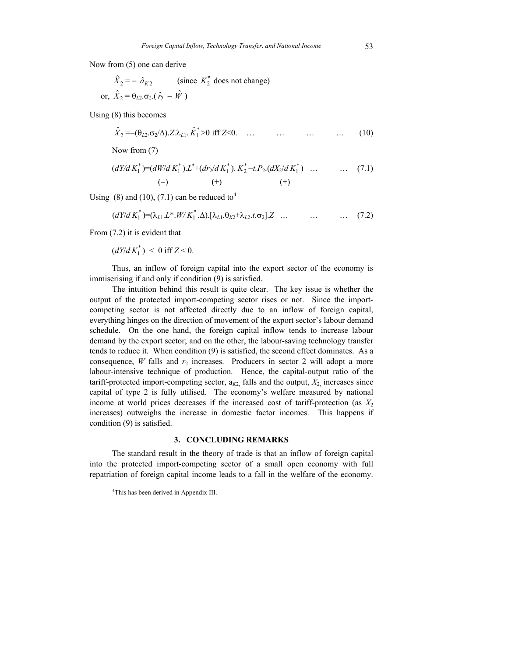Now from (5) one can derive

$$
\hat{X}_2 = -\hat{a}_{K2}
$$
 (since  $K_2^*$  does not change)  
or,  $\hat{X}_2 = \theta_{L2}.\sigma_2.(\hat{r}_2 - \hat{W})$ 

Using (8) this becomes

$$
\hat{X}_2 = -(\theta_{L2}.\sigma_2/\Delta).Z.\lambda_{L1}.\hat{K}_1^* > 0 \text{ iff } Z < 0. \quad \dots \quad \dots \quad \dots \quad \dots \quad (10)
$$

Now from (7)

$$
(dY/dK_1^*) = (dW/dK_1^*) \cdot L^* + (dr_2/dK_1^*) \cdot K_2^* - t \cdot P_2 \cdot (dX_2/dK_1^*) \quad \dots \quad \dots \quad (7.1)
$$
\n
$$
(-) \quad (+) \quad (+)
$$

Using (8) and (10), (7.1) can be reduced to<sup>4</sup>

$$
(dY/dK_1^*) = (\lambda_{L1}.L^* \cdot W/K_1^* \cdot \Delta) \cdot [\lambda_{L1}.\theta_{K2} + \lambda_{L2}.\tau \cdot \sigma_2] \cdot Z \quad \dots \quad \dots \quad \dots \quad (7.2)
$$

From (7.2) it is evident that

$$
\left(\frac{dY}{dK_1^*}\right) < 0 \text{ iff } Z < 0.
$$

Thus, an inflow of foreign capital into the export sector of the economy is immiserising if and only if condition (9) is satisfied.

The intuition behind this result is quite clear. The key issue is whether the output of the protected import-competing sector rises or not. Since the importcompeting sector is not affected directly due to an inflow of foreign capital, everything hinges on the direction of movement of the export sector's labour demand schedule. On the one hand, the foreign capital inflow tends to increase labour demand by the export sector; and on the other, the labour-saving technology transfer tends to reduce it. When condition (9) is satisfied, the second effect dominates. As a consequence, *W* falls and  $r_2$  increases. Producers in sector 2 will adopt a more labour-intensive technique of production. Hence, the capital-output ratio of the tariff-protected import-competing sector,  $a_{K2}$  falls and the output,  $X_2$  increases since capital of type 2 is fully utilised. The economy's welfare measured by national income at world prices decreases if the increased cost of tariff-protection (as  $X_2$ ) increases) outweighs the increase in domestic factor incomes. This happens if condition (9) is satisfied.

#### **3. CONCLUDING REMARKS**

The standard result in the theory of trade is that an inflow of foreign capital into the protected import-competing sector of a small open economy with full repatriation of foreign capital income leads to a fall in the welfare of the economy.

4 This has been derived in Appendix III.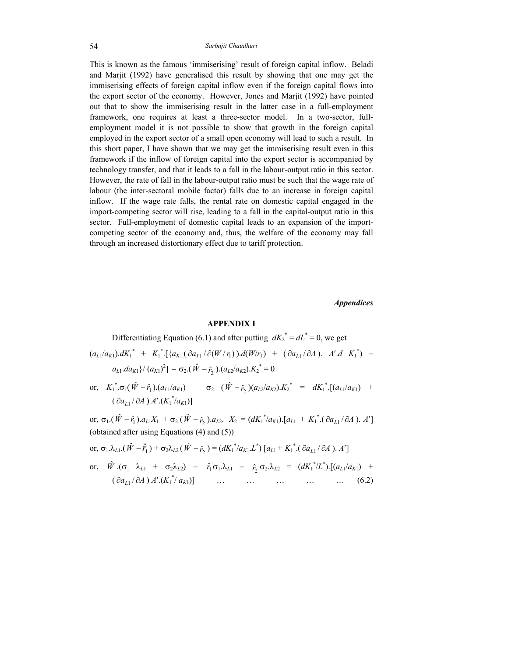This is known as the famous 'immiserising' result of foreign capital inflow. Beladi and Marjit (1992) have generalised this result by showing that one may get the immiserising effects of foreign capital inflow even if the foreign capital flows into the export sector of the economy. However, Jones and Marjit (1992) have pointed out that to show the immiserising result in the latter case in a full-employment framework, one requires at least a three-sector model. In a two-sector, fullemployment model it is not possible to show that growth in the foreign capital employed in the export sector of a small open economy will lead to such a result. In this short paper, I have shown that we may get the immiserising result even in this framework if the inflow of foreign capital into the export sector is accompanied by technology transfer, and that it leads to a fall in the labour-output ratio in this sector. However, the rate of fall in the labour-output ratio must be such that the wage rate of labour (the inter-sectoral mobile factor) falls due to an increase in foreign capital inflow. If the wage rate falls, the rental rate on domestic capital engaged in the import-competing sector will rise, leading to a fall in the capital-output ratio in this sector. Full-employment of domestic capital leads to an expansion of the importcompeting sector of the economy and, thus, the welfare of the economy may fall through an increased distortionary effect due to tariff protection.

*Appendices* 

## **APPENDIX I**

Differentiating Equation (6.1) and after putting  $dK_2^* = dL^* = 0$ , we get  $(a_{L1}/a_{K1})$ . $dK_1^* + K_1^*$ . [ $\{a_{K1}$ . $(\partial a_{L1}/\partial (W/r_1))$ . $d(W/r_1) + (\partial a_{L1}/\partial A)$ . *A'*. $dK_1^*$ ) –  $a_{L1}.da_{K1}\}/(a_{K1})^2$ ] –  $\sigma_2.(\hat{W} - \hat{r}_2). (a_{L2}/a_{K2}).K_2^* = 0$ 

or,  $K_1^* \cdot \sigma_1(\hat{W} - \hat{r}_1) \cdot (a_{L1}/a_{K1}) + \sigma_2 (\hat{W} - \hat{r}_2) (a_{L2}/a_{K2}) \cdot K_2^* = dK_1^* \cdot [(a_{L1}/a_{K1}) + (a_{L2}/a_{K2}) \cdot (a_{L3}/a_{K2})]$  $(\partial a_{L1}/\partial A) A'. (K_1^* / a_{K1})]$ 

or,  $\sigma_1$ .( $\hat{W} - \hat{r}_1$ ). $a_L$ <sub>1</sub>X<sub>1</sub> +  $\sigma_2$  ( $\hat{W} - \hat{r}_2$ ). $a_{L2}$ .  $X_2 = (dK_1^* / a_{K1})$ .[ $a_{L1} + K_1^*$ .( $\partial a_{L1} / \partial A$ ). A'] (obtained after using Equations (4) and (5))

or, 
$$
\sigma_1 \cdot \lambda_{L1} \cdot (\hat{W} - \hat{r}_1) + \sigma_2 \lambda_{L2} (\hat{W} - \hat{r}_2) = (dK_1^* / a_{K1} \cdot L^*) [a_{L1} + K_1^* \cdot (\partial a_{L1} / \partial A) \cdot A']
$$

or, 
$$
\hat{W} \cdot (\sigma_1 \lambda_{L1} + \sigma_2 \lambda_{L2}) - \hat{r}_1 \sigma_1 \lambda_{L1} - \hat{r}_2 \sigma_2 \lambda_{L2} = (dK_1^* / L^*) \cdot [(a_{L1}/a_{K1}) + (\partial a_{L1}/\partial A) A' \cdot (K_1^* / a_{K1})]
$$
 ... ... ... ... (6.2)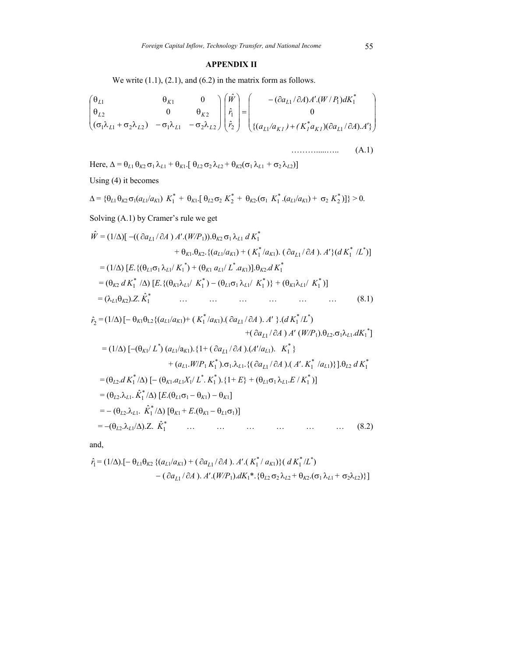# **APPENDIX II**

We write  $(1.1)$ ,  $(2.1)$ , and  $(6.2)$  in the matrix form as follows.

$$
\begin{pmatrix}\n\theta_{L1} & \theta_{K1} & 0 \\
\theta_{L2} & 0 & \theta_{K2} \\
(\sigma_1 \lambda_{L1} + \sigma_2 \lambda_{L2}) & -\sigma_1 \lambda_{L1} & -\sigma_2 \lambda_{L2}\n\end{pmatrix}\n\begin{pmatrix}\n\hat{W} \\
\hat{r}_1 \\
\hat{r}_2\n\end{pmatrix} = \n\begin{pmatrix}\n-(\partial a_{L1}/\partial A) A'. (W/P_1) dK_1^* \\
0 \\
\{(a_{L1}/a_{K1}) + (K_1^* a_{K1})(\partial a_{L1}/\partial A). A'\}\n\end{pmatrix}
$$
\n
$$
\dots
$$
\n(A.1)

Here, 
$$
\Delta = \theta_{L1} \theta_{K2} \sigma_1 \lambda_{L1} + \theta_{K1}
$$
. [ $\theta_{L2} \sigma_2 \lambda_{L2} + \theta_{K2} (\sigma_1 \lambda_{L1} + \sigma_2 \lambda_{L2})$ ]  
\nUsing (4) it becomes  
\n
$$
\Delta = {\theta_{L1} \theta_{K2} \sigma_1 (a_{L1}/a_{K1}) K_1^* + \theta_{K1}
$$
. [ $\theta_{L2} \sigma_2 K_2^* + \theta_{K2}$ . ( $\sigma_1 K_1^* . (a_{L1}/a_{K1}) + \sigma_2 K_2^* )$ ]) > 0.  
\nSolving (A.1) by Cramer's rule we get  
\n
$$
\hat{W} = (1/\Delta) [ -((\partial a_{L1}/\partial A) A'. (W/P_1)) . \theta_{K2} \sigma_1 \lambda_{L1} d K_1^* + \theta_{K1} . \theta_{K2} . \{(a_{L1}/a_{K1}) + (K_1^* / a_{K1}) . (\partial a_{L1}/\partial A) . A' \} (d K_1^* / L^* )]
$$
\n
$$
= (1/\Delta) [ E. {(\theta_{L1} \sigma_1 \lambda_{L1}/ K_1^*) + (\theta_{K1} a_{L1}/ L^* . a_{K1})}] . \theta_{K2} d K_1^*
$$
\n
$$
= (\theta_{K2} d K_1^* / \Delta) [ E. {(\theta_{K1} \lambda_{L1}/ K_1^*) - (\theta_{L1} \sigma_1 \lambda_{L1}/ K_1^*)} + (\theta_{K1} \lambda_{L1}/ K_1^* )]
$$
\n
$$
= (\lambda_{L1} \theta_{K2}) . Z. \hat{K}_1^*
$$
\n...  
\n...  
\n...  
\n...  
\n(8.1)  
\n $\hat{r}_2 = (1/\Delta) [-\theta_{K1} \theta_{L2} { (a_{L1}/a_{K1}) + (K_1^* / a_{K1}) . (\partial a_{L1}/\partial A) . A' } . (d K_1^* / L^*)$ \n
$$
+ (\partial a_{L1}/\partial A) d' (W/P_1) \theta_{L1} \sigma_2 \lambda_{L1} d K_1^* ]
$$

 +( ∂*aL*<sup>1</sup> / ∂*A* ) *A*′ (*W/P*1).θ*L*2.σ1λ*L*1.*dK*<sup>1</sup> \* ] = (1/∆) [−(θ*K*1/ *L\** ) (*aL*1/a*K*1).{1+ ( ∂*aL*<sup>1</sup> / ∂*A* ).(*A*′/*aL*1). \* *K*<sup>1</sup> } + (*aL*1.*W*/*P*<sup>1</sup> \* *K*<sup>1</sup> ).σ1.λ*L*1.{( ∂*aL*<sup>1</sup> / ∂*A* ).( *A*′. \* *K*1 /*aL*1)}].θ*L*<sup>2</sup> *d* \* *K*1 = (θ*L*2.*d* \* *K*<sup>1</sup> /∆) [− (θ*K*1.*aL*1*X*1/ *L*\* . \* *K*<sup>1</sup> ).{1+ *E*} + (θ*L*1σ1 λ*L*1.*E* / \* *K*<sup>1</sup> )] = (θ*L*2.λ*L*1. \* <sup>1</sup> *<sup>K</sup>*<sup>ˆ</sup> /∆) [*E*.(θ*L*1σ1 <sup>−</sup> <sup>θ</sup>*K*1) <sup>−</sup> <sup>θ</sup>*K*1] = − (θ*L*2.λ*L*1. \* <sup>1</sup> *<sup>K</sup>*<sup>ˆ</sup> /∆) [θ*K*1 + *E*.(θ*K*1 <sup>−</sup> <sup>θ</sup>*L*1σ1)] = −(θ*L*2.λ*L*1/∆).Z. \* <sup>1</sup> *<sup>K</sup>*ˆ … … … … … … (8.2)

and,

$$
\hat{r}_1 = (1/\Delta) \cdot [-\theta_{L1}\theta_{K2} \{ (a_{L1}/a_{K1}) + (\partial a_{L1}/\partial A) \cdot A'. (K_1^*/a_{K1}) \} (dK_1^*/L^*)
$$
  
-(\partial a\_{L1}/\partial A) \cdot A'. (W/P\_1) \cdot dK\_1^\* \cdot {\theta\_{L2} \sigma\_2 \lambda\_{L2} + \theta\_{K2} \cdot (\sigma\_1 \lambda\_{L1} + \sigma\_2 \lambda\_{L2})}